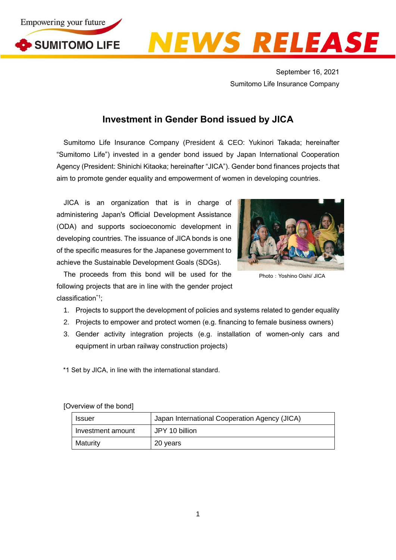

## **EWS RELEASE**

September 16, 2021 Sumitomo Life Insurance Company

## **Investment in Gender Bond issued by JICA**

Sumitomo Life Insurance Company (President & CEO: Yukinori Takada; hereinafter "Sumitomo Life") invested in a gender bond issued by Japan International Cooperation Agency (President: Shinichi Kitaoka; hereinafter "JICA"). Gender bond finances projects that aim to promote gender equality and empowerment of women in developing countries.

JICA is an organization that is in charge of administering Japan's Official Development Assistance (ODA) and supports socioeconomic development in developing countries. The issuance of JICA bonds is one of the specific measures for the Japanese government to achieve the Sustainable Development Goals (SDGs).



Photo: Yoshino Oishi/ JICA

The proceeds from this bond will be used for the following projects that are in line with the gender project classification\*1;

- 1. Projects to support the development of policies and systems related to gender equality
- 2. Projects to empower and protect women (e.g. financing to female business owners)
- 3. Gender activity integration projects (e.g. installation of women-only cars and equipment in urban railway construction projects)

\*1 Set by JICA, in line with the international standard.

| Issuer            | Japan International Cooperation Agency (JICA) |
|-------------------|-----------------------------------------------|
| Investment amount | JPY 10 billion                                |
| Maturity          | 20 years                                      |

[Overview of the bond]